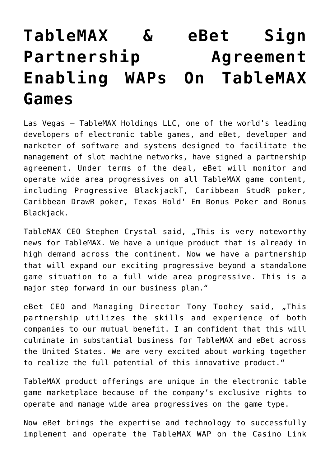## **[TableMAX & eBet Sign](https://www.isa-guide.de/english-news/articles/20314.html) [Partnership Agreement](https://www.isa-guide.de/english-news/articles/20314.html) [Enabling WAPs On TableMAX](https://www.isa-guide.de/english-news/articles/20314.html) [Games](https://www.isa-guide.de/english-news/articles/20314.html)**

Las Vegas – TableMAX Holdings LLC, one of the world's leading developers of electronic table games, and eBet, developer and marketer of software and systems designed to facilitate the management of slot machine networks, have signed a partnership agreement. Under terms of the deal, eBet will monitor and operate wide area progressives on all TableMAX game content, including Progressive BlackjackT, Caribbean StudR poker, Caribbean DrawR poker, Texas Hold' Em Bonus Poker and Bonus Blackjack.

TableMAX CEO Stephen Crystal said, "This is very noteworthy news for TableMAX. We have a unique product that is already in high demand across the continent. Now we have a partnership that will expand our exciting progressive beyond a standalone game situation to a full wide area progressive. This is a major step forward in our business plan."

eBet CEO and Managing Director Tony Toohey said, "This partnership utilizes the skills and experience of both companies to our mutual benefit. I am confident that this will culminate in substantial business for TableMAX and eBet across the United States. We are very excited about working together to realize the full potential of this innovative product."

TableMAX product offerings are unique in the electronic table game marketplace because of the company's exclusive rights to operate and manage wide area progressives on the game type.

Now eBet brings the expertise and technology to successfully implement and operate the TableMAX WAP on the Casino Link